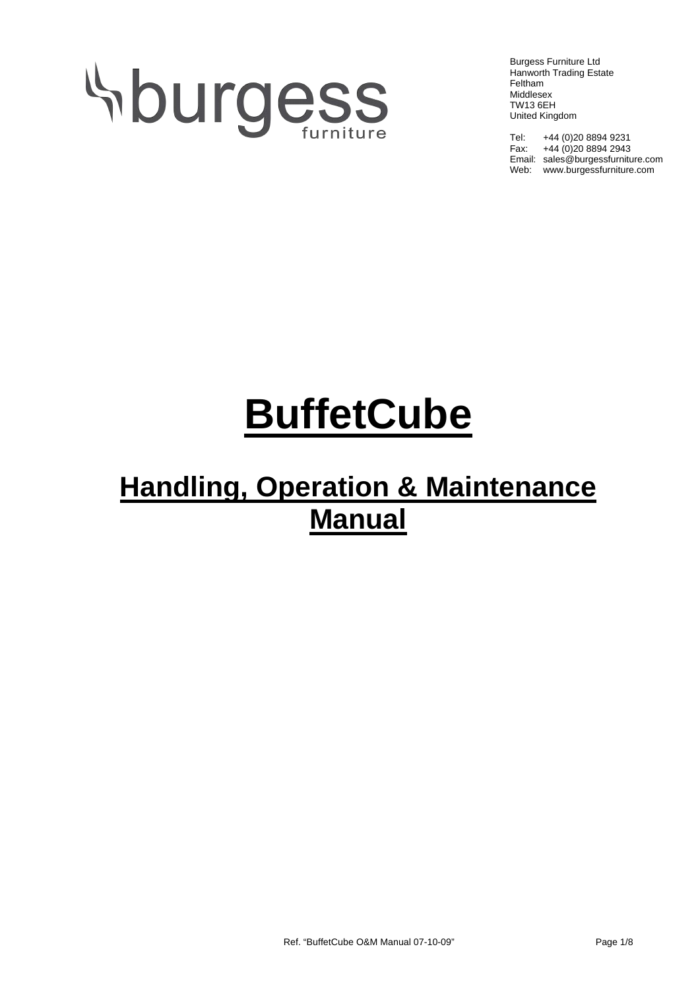# **Sburgess**

Burgess Furniture Ltd Hanworth Trading Estate Feltham Middlesex TW13 6EH United Kingdom

Tel: +44 (0)20 8894 9231 Fax: +44 (0)20 8894 2943 Email: sales@burgessfurniture.com Web: www.burgessfurniture.com

# **BuffetCube**

## **Handling, Operation & Maintenance Manual**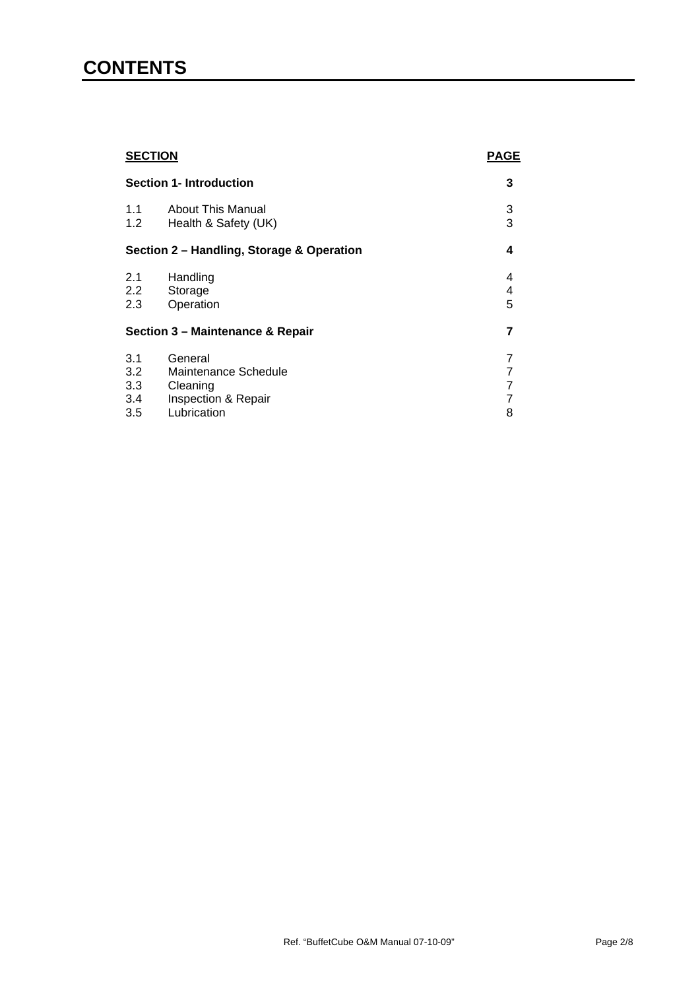### **CONTENTS**

| <b>SECTION</b><br><b>Section 1- Introduction</b> |                                                                    | <b>PAGE</b>      |
|--------------------------------------------------|--------------------------------------------------------------------|------------------|
|                                                  |                                                                    | 3                |
| 1.1<br>1.2                                       | <b>About This Manual</b><br>Health & Safety (UK)                   | 3<br>3           |
| Section 2 - Handling, Storage & Operation        |                                                                    | 4                |
| 2.1<br>2.2<br>2.3                                | Handling<br>Storage<br>Operation                                   | 4<br>4<br>5      |
| Section 3 - Maintenance & Repair                 |                                                                    | 7                |
| 3.1<br>3.2<br>3.3<br>3.4                         | General<br>Maintenance Schedule<br>Cleaning<br>Inspection & Repair | 7<br>7<br>7<br>7 |
| 3.5                                              | Lubrication                                                        | 8                |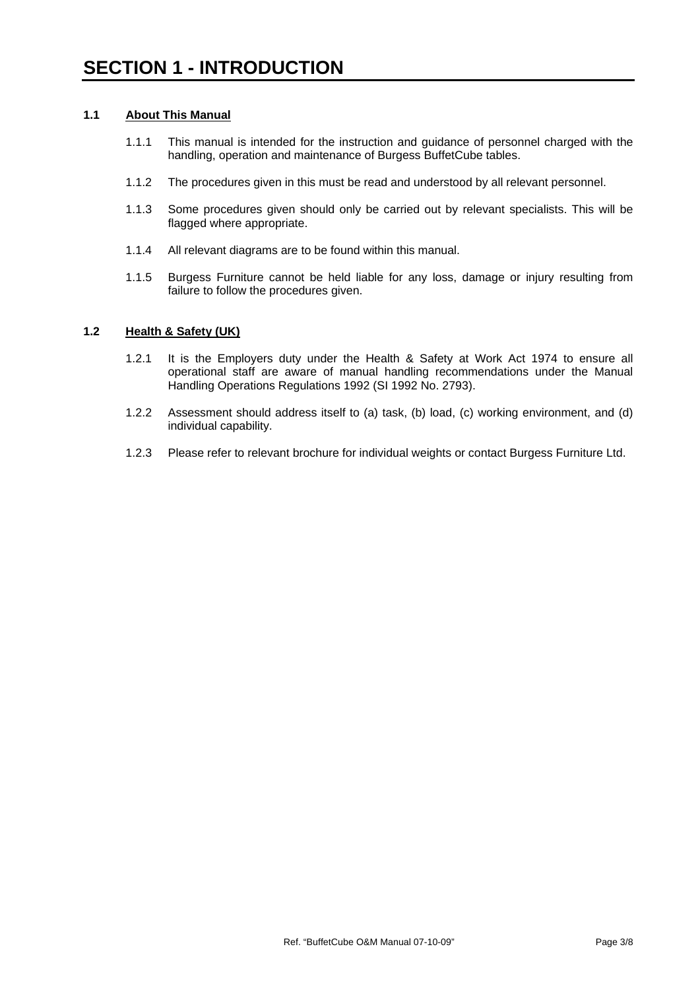#### **1.1 About This Manual**

- 1.1.1 This manual is intended for the instruction and guidance of personnel charged with the handling, operation and maintenance of Burgess BuffetCube tables.
- 1.1.2 The procedures given in this must be read and understood by all relevant personnel.
- 1.1.3 Some procedures given should only be carried out by relevant specialists. This will be flagged where appropriate.
- 1.1.4 All relevant diagrams are to be found within this manual.
- 1.1.5 Burgess Furniture cannot be held liable for any loss, damage or injury resulting from failure to follow the procedures given.

#### **1.2 Health & Safety (UK)**

- 1.2.1 It is the Employers duty under the Health & Safety at Work Act 1974 to ensure all operational staff are aware of manual handling recommendations under the Manual Handling Operations Regulations 1992 (SI 1992 No. 2793).
- 1.2.2 Assessment should address itself to (a) task, (b) load, (c) working environment, and (d) individual capability.
- 1.2.3 Please refer to relevant brochure for individual weights or contact Burgess Furniture Ltd.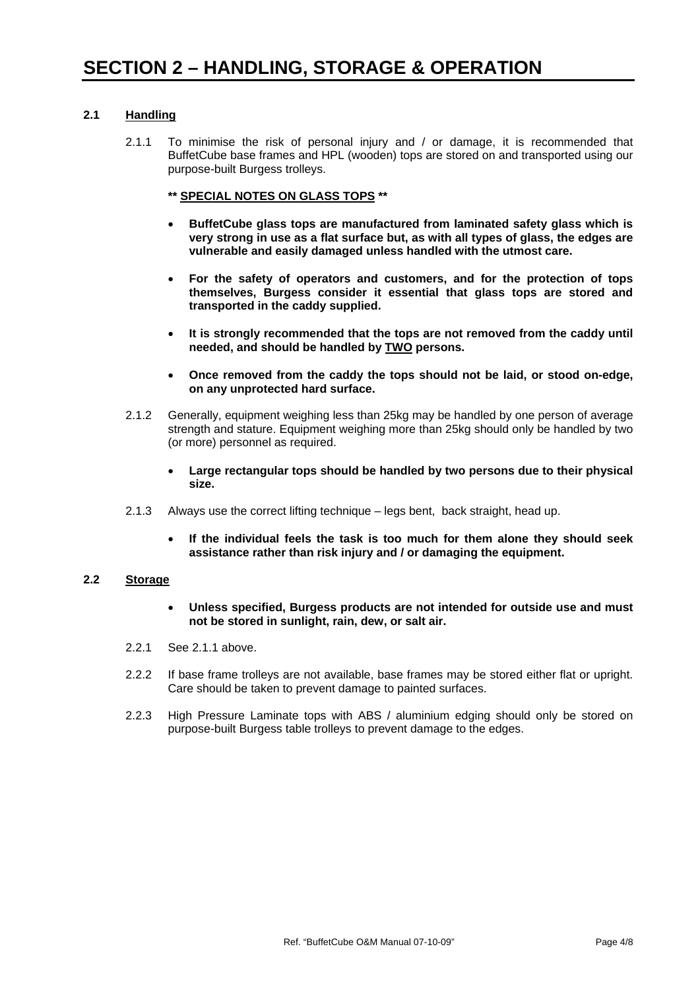#### **2.1 Handling**

- 2.1.1 To minimise the risk of personal injury and / or damage, it is recommended that BuffetCube base frames and HPL (wooden) tops are stored on and transported using our purpose-built Burgess trolleys.
	- **\*\* SPECIAL NOTES ON GLASS TOPS \*\***
	- **BuffetCube glass tops are manufactured from laminated safety glass which is very strong in use as a flat surface but, as with all types of glass, the edges are vulnerable and easily damaged unless handled with the utmost care.**
	- **For the safety of operators and customers, and for the protection of tops themselves, Burgess consider it essential that glass tops are stored and transported in the caddy supplied.**
	- **It is strongly recommended that the tops are not removed from the caddy until needed, and should be handled by TWO persons.**
	- **Once removed from the caddy the tops should not be laid, or stood on-edge, on any unprotected hard surface.**
- 2.1.2 Generally, equipment weighing less than 25kg may be handled by one person of average strength and stature. Equipment weighing more than 25kg should only be handled by two (or more) personnel as required.
	- **Large rectangular tops should be handled by two persons due to their physical size.**
- 2.1.3 Always use the correct lifting technique legs bent, back straight, head up.
	- **If the individual feels the task is too much for them alone they should seek assistance rather than risk injury and / or damaging the equipment.**

#### **2.2 Storage**

- **Unless specified, Burgess products are not intended for outside use and must not be stored in sunlight, rain, dew, or salt air.**
- 2.2.1 See 2.1.1 above.
- 2.2.2 If base frame trolleys are not available, base frames may be stored either flat or upright. Care should be taken to prevent damage to painted surfaces.
- 2.2.3 High Pressure Laminate tops with ABS / aluminium edging should only be stored on purpose-built Burgess table trolleys to prevent damage to the edges.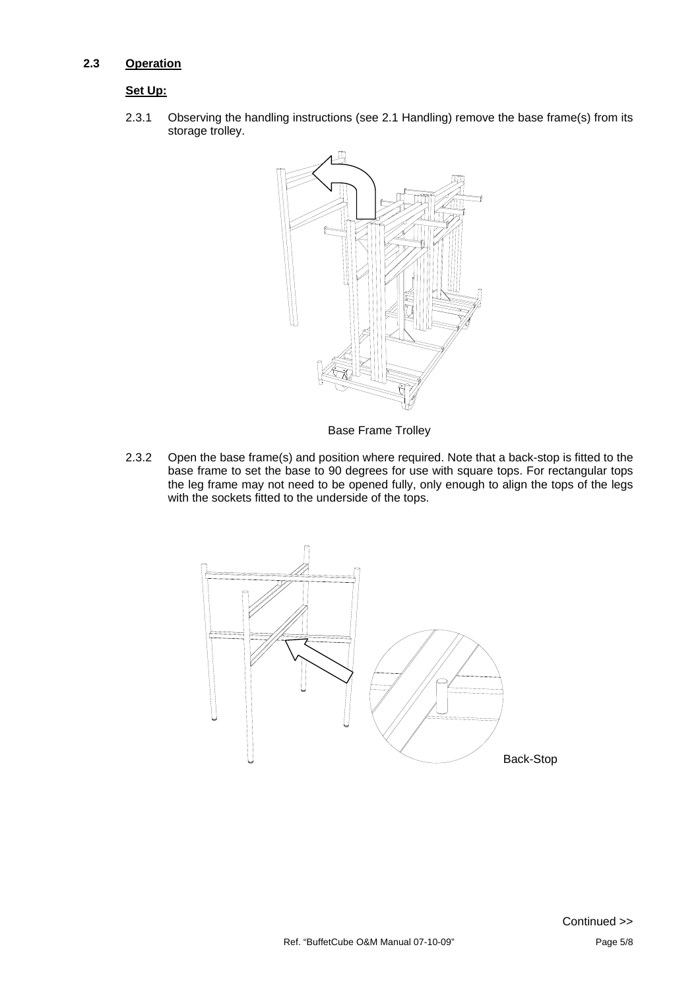#### **2.3 Operation**

#### **Set Up:**

2.3.1 Observing the handling instructions (see 2.1 Handling) remove the base frame(s) from its storage trolley.



Base Frame Trolley

2.3.2 Open the base frame(s) and position where required. Note that a back-stop is fitted to the base frame to set the base to 90 degrees for use with square tops. For rectangular tops the leg frame may not need to be opened fully, only enough to align the tops of the legs with the sockets fitted to the underside of the tops.

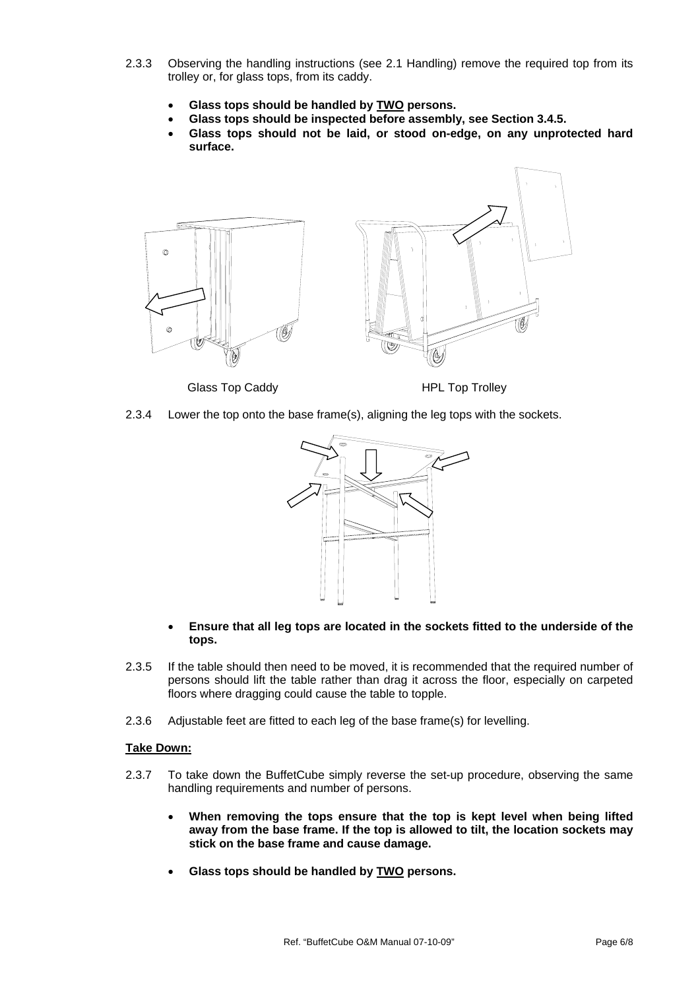- 2.3.3 Observing the handling instructions (see 2.1 Handling) remove the required top from its trolley or, for glass tops, from its caddy.
	- **Glass tops should be handled by TWO persons.**
	- **Glass tops should be inspected before assembly, see Section 3.4.5.**
	- **Glass tops should not be laid, or stood on-edge, on any unprotected hard surface.**



Glass Top Caddy **HPL Top Trolley** 

2.3.4 Lower the top onto the base frame(s), aligning the leg tops with the sockets.



- **Ensure that all leg tops are located in the sockets fitted to the underside of the tops.**
- 2.3.5 If the table should then need to be moved, it is recommended that the required number of persons should lift the table rather than drag it across the floor, especially on carpeted floors where dragging could cause the table to topple.
- 2.3.6 Adjustable feet are fitted to each leg of the base frame(s) for levelling.

#### **Take Down:**

- 2.3.7 To take down the BuffetCube simply reverse the set-up procedure, observing the same handling requirements and number of persons.
	- **When removing the tops ensure that the top is kept level when being lifted away from the base frame. If the top is allowed to tilt, the location sockets may stick on the base frame and cause damage.**
	- **Glass tops should be handled by TWO persons.**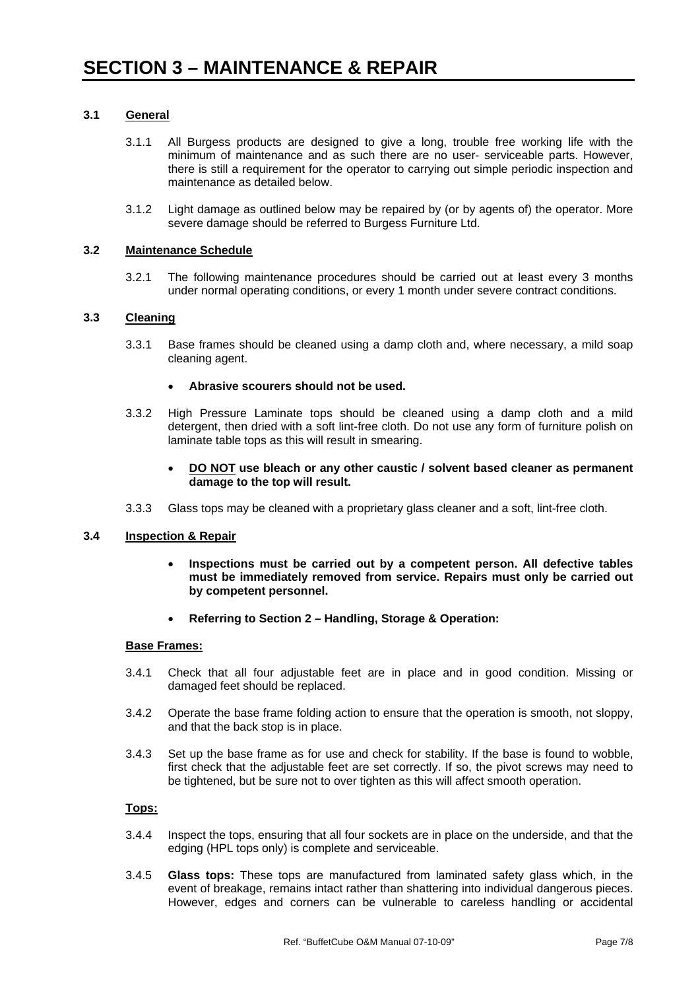#### **3.1 General**

- 3.1.1 All Burgess products are designed to give a long, trouble free working life with the minimum of maintenance and as such there are no user- serviceable parts. However, there is still a requirement for the operator to carrying out simple periodic inspection and maintenance as detailed below.
- 3.1.2 Light damage as outlined below may be repaired by (or by agents of) the operator. More severe damage should be referred to Burgess Furniture Ltd.

#### **3.2 Maintenance Schedule**

3.2.1 The following maintenance procedures should be carried out at least every 3 months under normal operating conditions, or every 1 month under severe contract conditions.

#### **3.3 Cleaning**

3.3.1 Base frames should be cleaned using a damp cloth and, where necessary, a mild soap cleaning agent.

#### • **Abrasive scourers should not be used.**

- 3.3.2 High Pressure Laminate tops should be cleaned using a damp cloth and a mild detergent, then dried with a soft lint-free cloth. Do not use any form of furniture polish on laminate table tops as this will result in smearing.
	- **DO NOT use bleach or any other caustic / solvent based cleaner as permanent damage to the top will result.**
- 3.3.3 Glass tops may be cleaned with a proprietary glass cleaner and a soft, lint-free cloth.

#### **3.4 Inspection & Repair**

- **Inspections must be carried out by a competent person. All defective tables must be immediately removed from service. Repairs must only be carried out by competent personnel.**
- **Referring to Section 2 Handling, Storage & Operation:**

#### **Base Frames:**

- 3.4.1 Check that all four adjustable feet are in place and in good condition. Missing or damaged feet should be replaced.
- 3.4.2 Operate the base frame folding action to ensure that the operation is smooth, not sloppy, and that the back stop is in place.
- 3.4.3 Set up the base frame as for use and check for stability. If the base is found to wobble, first check that the adjustable feet are set correctly. If so, the pivot screws may need to be tightened, but be sure not to over tighten as this will affect smooth operation.

#### **Tops:**

- 3.4.4 Inspect the tops, ensuring that all four sockets are in place on the underside, and that the edging (HPL tops only) is complete and serviceable.
- 3.4.5 **Glass tops:** These tops are manufactured from laminated safety glass which, in the event of breakage, remains intact rather than shattering into individual dangerous pieces. However, edges and corners can be vulnerable to careless handling or accidental